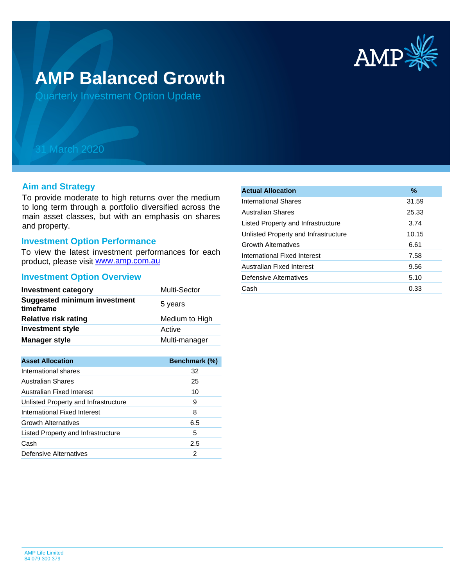

# **AMP Balanced Growth**

Quarterly Investment Option Update

## 31 March 2020

#### **Aim and Strategy**

To provide moderate to high returns over the medium to long term through a portfolio diversified across the main asset classes, but with an emphasis on shares and property.

## **Investment Option Performance**

product, please visit **[www.amp.com.au](https://www.amp.com.au)** To view the latest investment performances for each

#### **Investment Option Overview**

| <b>Investment category</b>                       | Multi-Sector   |
|--------------------------------------------------|----------------|
| <b>Suggested minimum investment</b><br>timeframe | 5 years        |
| <b>Relative risk rating</b>                      | Medium to High |
| <b>Investment style</b>                          | Active         |
| <b>Manager style</b>                             | Multi-manager  |

| <b>Asset Allocation</b>              | Benchmark (%) |
|--------------------------------------|---------------|
| International shares                 | 32            |
| Australian Shares                    | 25            |
| Australian Fixed Interest            | 10            |
| Unlisted Property and Infrastructure | 9             |
| International Fixed Interest         | 8             |
| <b>Growth Alternatives</b>           | 6.5           |
| Listed Property and Infrastructure   | 5             |
| Cash                                 | 2.5           |
| Defensive Alternatives               | 2             |

| <b>Actual Allocation</b>             | $\%$  |
|--------------------------------------|-------|
| International Shares                 | 31.59 |
| Australian Shares                    | 25.33 |
| Listed Property and Infrastructure   | 3.74  |
| Unlisted Property and Infrastructure | 10.15 |
| <b>Growth Alternatives</b>           | 6.61  |
| International Fixed Interest         | 7.58  |
| Australian Fixed Interest            | 9.56  |
| Defensive Alternatives               | 5.10  |
| Cash                                 | 0.33  |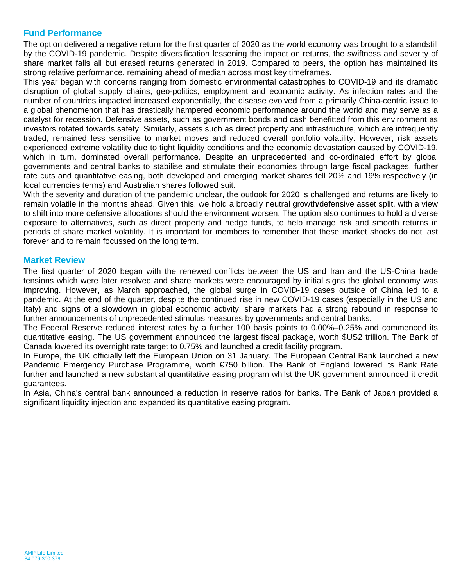## **Fund Performance**

The option delivered a negative return for the first quarter of 2020 as the world economy was brought to a standstill by the COVID-19 pandemic. Despite diversification lessening the impact on returns, the swiftness and severity of share market falls all but erased returns generated in 2019. Compared to peers, the option has maintained its strong relative performance, remaining ahead of median across most key timeframes.

This year began with concerns ranging from domestic environmental catastrophes to COVID-19 and its dramatic disruption of global supply chains, geo-politics, employment and economic activity. As infection rates and the number of countries impacted increased exponentially, the disease evolved from a primarily China-centric issue to a global phenomenon that has drastically hampered economic performance around the world and may serve as a catalyst for recession. Defensive assets, such as government bonds and cash benefitted from this environment as investors rotated towards safety. Similarly, assets such as direct property and infrastructure, which are infrequently traded, remained less sensitive to market moves and reduced overall portfolio volatility. However, risk assets experienced extreme volatility due to tight liquidity conditions and the economic devastation caused by COVID-19, which in turn, dominated overall performance. Despite an unprecedented and co-ordinated effort by global governments and central banks to stabilise and stimulate their economies through large fiscal packages, further rate cuts and quantitative easing, both developed and emerging market shares fell 20% and 19% respectively (in local currencies terms) and Australian shares followed suit.

With the severity and duration of the pandemic unclear, the outlook for 2020 is challenged and returns are likely to remain volatile in the months ahead. Given this, we hold a broadly neutral growth/defensive asset split, with a view to shift into more defensive allocations should the environment worsen. The option also continues to hold a diverse exposure to alternatives, such as direct property and hedge funds, to help manage risk and smooth returns in periods of share market volatility. It is important for members to remember that these market shocks do not last forever and to remain focussed on the long term.

### **Market Review**

The first quarter of 2020 began with the renewed conflicts between the US and Iran and the US-China trade tensions which were later resolved and share markets were encouraged by initial signs the global economy was improving. However, as March approached, the global surge in COVID-19 cases outside of China led to a pandemic. At the end of the quarter, despite the continued rise in new COVID-19 cases (especially in the US and Italy) and signs of a slowdown in global economic activity, share markets had a strong rebound in response to further announcements of unprecedented stimulus measures by governments and central banks.

The Federal Reserve reduced interest rates by a further 100 basis points to 0.00%–0.25% and commenced its quantitative easing. The US government announced the largest fiscal package, worth \$US2 trillion. The Bank of Canada lowered its overnight rate target to 0.75% and launched a credit facility program.

In Europe, the UK officially left the European Union on 31 January. The European Central Bank launched a new Pandemic Emergency Purchase Programme, worth €750 billion. The Bank of England lowered its Bank Rate further and launched a new substantial quantitative easing program whilst the UK government announced it credit guarantees.

In Asia. China's central bank announced a reduction in reserve ratios for banks. The Bank of Japan provided a significant liquidity injection and expanded its quantitative easing program.